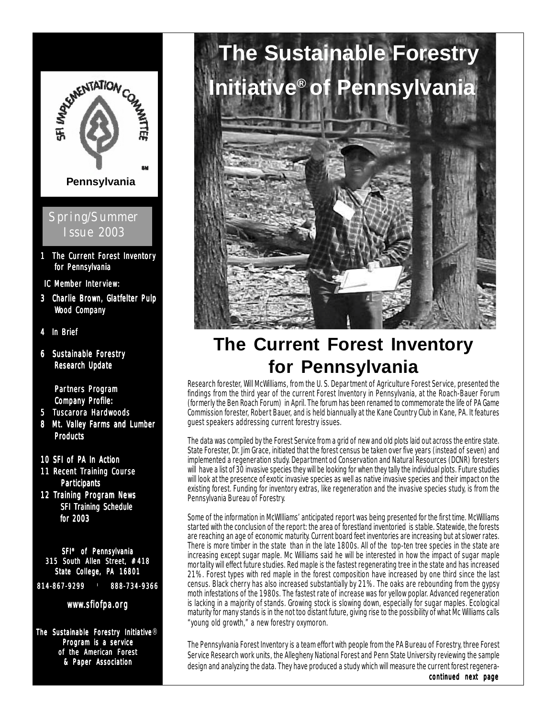

Program is a service of the American Forest & Paper Association



## **The Current Forest Inventory for Pennsylvania**

Research forester, Will McWilliams, from the U. S. Department of Agriculture Forest Service, presented the findings from the third year of the current Forest Inventory in Pennsylvania, at the Roach-Bauer Forum (formerly the Ben Roach Forum) in April. The forum has been renamed to commemorate the life of PA Game Commission forester, Robert Bauer, and is held biannually at the Kane Country Club in Kane, PA. It features guest speakers addressing current forestry issues.

The data was compiled by the Forest Service from a grid of new and old plots laid out across the entire state. State Forester, Dr. Jim Grace, initiated that the forest census be taken over five years (instead of seven) and implemented a regeneration study. Department od Conservation and Natural Resources (DCNR) foresters will have a list of 30 invasive species they will be looking for when they tally the individual plots. Future studies will look at the presence of exotic invasive species as well as native invasive species and their impact on the existing forest. Funding for inventory extras, like regeneration and the invasive species study, is from the Pennsylvania Bureau of Forestry.

Some of the information in McWIlliams' anticipated report was being presented for the first time. McWilliams started with the conclusion of the report: the area of forestland inventoried is stable. Statewide, the forests are reaching an age of economic maturity. Current board feet inventories are increasing but at slower rates. There is more timber in the state than in the late 1800s. All of the top-ten tree species in the state are increasing except sugar maple. Mc Williams said he will be interested in how the impact of sugar maple mortality will effect future studies. Red maple is the fastest regenerating tree in the state and has increased 21%. Forest types with red maple in the forest composition have increased by one third since the last census. Black cherry has also increased substantially by 21%. The oaks are rebounding from the gypsy moth infestations of the 1980s. The fastest rate of increase was for yellow poplar. Advanced regeneration is lacking in a majority of stands. Growing stock is slowing down, especially for sugar maples. Ecological maturity for many stands is in the not too distant future, giving rise to the possibility of what Mc Williams calls "young old growth," a new forestry oxymoron.

The Pennsylvania Forest Inventory is a team effort with people from the PA Bureau of Forestry, three Forest Service Research work units, the Allegheny National Forest and Penn State University reviewing the sample design and analyzing the data. They have produced a study which will measure the current forest regenera-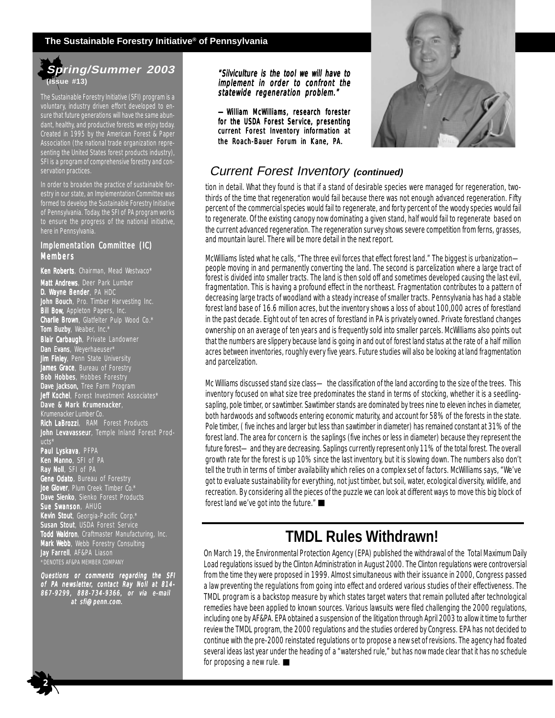#### **The Sustainable Forestry Initiative® of Pennsylvania**

### **Spring/Summer 2003 (Issue #13)**

The Sustainable Forestry Initiative (SFI) program is a voluntary, industry driven effort developed to ensure that future generations will have the same abundant, healthy, and productive forests we enjoy today. Created in 1995 by the American Forest & Paper Association (the national trade organization representing the United States forest products industry), SFI is a program of comprehensive forestry and conservation practices.

In order to broaden the practice of sustainable forestry in our state, an Implementation Committee was formed to develop the Sustainable Forestry Initiative of Pennsylvania. Today, the SFI of PA program works to ensure the progress of the national initiative, here in Pennsylvania.

#### Implementation Committee (IC) Members

Ken Roberts, Chairman, Mead Westvaco\* Matt Andrews, Deer Park Lumber **D. Wayne Bender**, PA HDC John Bouch, Pro. Timber Harvesting Inc. **Bill Bow, Appleton Papers, Inc. Charlie Brown**, Glatfelter Pulp Wood Co. $^{\star}$ **Tom Buzby**, Weaber, Inc.\* Blair Carbaugh, Private Landowner Dan Evans, Weyerhaeuser\* **Jim Finley**, Penn State University **James Grace**, Bureau of Forestry **Bob Hobbes**, Hobbes Forestry Dave Jackson, Tree Farm Program Jeff Kochel, Forest Investment Associates\* Dave & Mark Krumenacker, Krumenacker Lumber Co. Rich LaBrozzi, RAM Forest Products John Levavasseur, Temple Inland Forest Products\* Paul Lyskava, PFPA **Ken Manno**, SFI of PA Ray Noll, SFI of PA ene Odato, Bureau of Forestry **Joe Glover**, Plum Creek Timber Co.\* **Dave Sienko**, Sienko Forest Products **Sue Swanson**, AHUG Kevin Stout, Georgia-Pacific Corp.\* **Susan Stout**, USDA Forest Service Todd Waldron, Craftmaster Manufacturing, Inc. Mark Webb, Webb Forestry Consulting Jay Farrell, AF&PA Liason \*DENOTES AF&PA MEMBER COMPANY

Questions or comments regarding the SFI of PA newsletter, contact Ray Noll at 814- 867-9299, 888-734-9366, or via e-mail at sfi@penn.com.

 $\frac{1}{2}$ 

"Silviculture is the tool we will have to implement in order to confront the statewide regeneration problem."

—William McWilliams, research forester for the USDA Forest Service, presenting current Forest Inventory information at the Roach-Bauer Forum in Kane, PA.

### Current Forest Inventory **(continued)**

tion in detail. What they found is that if a stand of desirable species were managed for regeneration, twothirds of the time that regeneration would fail because there was not enough advanced regeneration. Fifty percent of the commercial species would fail to regenerate, and forty percent of the woody species would fail to regenerate. Of the existing canopy now dominating a given stand, half would fail to regenerate based on the current advanced regeneration. The regeneration survey shows severe competition from ferns, grasses, and mountain laurel. There will be more detail in the next report.

McWilliams listed what he calls, "The three evil forces that effect forest land." The biggest is urbanization people moving in and permanently converting the land. The second is parcelization where a large tract of forest is divided into smaller tracts. The land is then sold off and sometimes developed causing the last evil, fragmentation. This is having a profound effect in the northeast. Fragmentation contributes to a pattern of decreasing large tracts of woodland with a steady increase of smaller tracts. Pennsylvania has had a stable forest land base of 16.6 million acres, but the inventory shows a loss of about 100,000 acres of forestland in the past decade. Eight out of ten acres of forestland in PA is privately owned. Private forestland changes ownership on an average of ten years and is frequently sold into smaller parcels. McWilliams also points out that the numbers are slippery because land is going in and out of forest land status at the rate of a half million acres between inventories, roughly every five years. Future studies will also be looking at land fragmentation and parcelization.

forest land we've got into the future." ■ Mc Williams discussed stand size class— the classification of the land according to the size of the trees. This inventory focused on what size tree predominates the stand in terms of stocking, whether it is a seedlingsapling, pole timber, or sawtimber. Sawtimber stands are dominated by trees nine to eleven inches in diameter, both hardwoods and softwoods entering economic maturity, and account for 58% of the forests in the state. Pole timber, ( five inches and larger but less than sawtimber in diameter) has remained constant at 31% of the forest land. The area for concern is the saplings (five inches or less in diameter) because they represent the future forest—and they are decreasing. Saplings currently represent only 11% of the total forest. The overall growth rate for the forest is up 10% since the last inventory, but it is slowing down. The numbers also don't tell the truth in terms of timber availability which relies on a complex set of factors. McWilliams says, "We've got to evaluate sustainability for everything, not just timber, but soil, water, ecological diversity, wildlife, and recreation. By considering all the pieces of the puzzle we can look at different ways to move this big block of

## **TMDL Rules Withdrawn!**

On March 19, the Environmental Protection Agency (EPA) published the withdrawal of the Total Maximum Daily Load regulations issued by the Clinton Administration in August 2000. The Clinton regulations were controversial from the time they were proposed in 1999. Almost simultaneous with their issuance in 2000, Congress passed a law preventing the regulations from going into effect and ordered various studies of their effectiveness. The TMDL program is a backstop measure by which states target waters that remain polluted after technological remedies have been applied to known sources. Various lawsuits were filed challenging the 2000 regulations, including one by AF&PA. EPA obtained a suspension of the litigation through April 2003 to allow it time to further review the TMDL program, the 2000 regulations and the studies ordered by Congress. EPA has not decided to continue with the pre-2000 reinstated regulations or to propose a new set of revisions. The agency had floated several ideas last year under the heading of a "watershed rule," but has now made clear that it has no schedule for proposing a new rule.  $\blacksquare$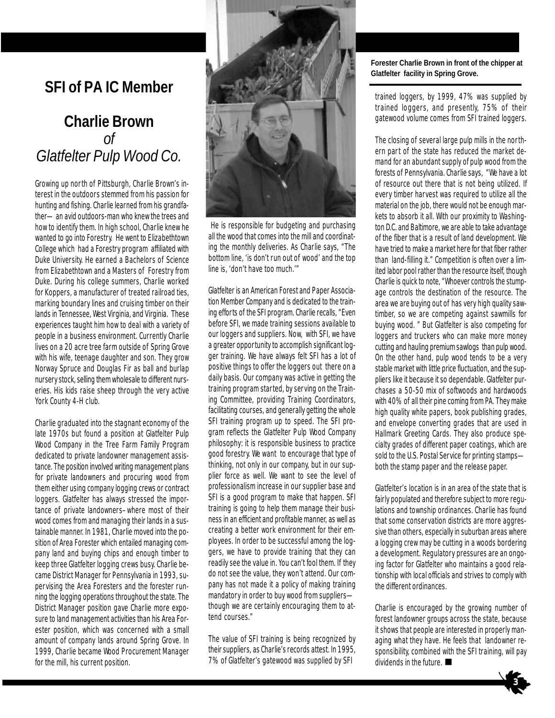## **SFI of PA IC Member**

## **Charlie Brown** *of Glatfelter Pulp Wood Co.*

Growing up north of Pittsburgh, Charlie Brown's interest in the outdoors stemmed from his passion for hunting and fishing. Charlie learned from his grandfather—an avid outdoors-man who knew the trees and how to identify them. In high school, Charlie knew he wanted to go into Forestry. He went to Elizabethtown College which had a Forestry program affiliated with Duke University. He earned a Bachelors of Science from Elizabethtown and a Masters of Forestry from Duke. During his college summers, Charlie worked for Koppers, a manufacturer of treated railroad ties, marking boundary lines and cruising timber on their lands in Tennessee, West Virginia, and Virginia. These experiences taught him how to deal with a variety of people in a business environment. Currently Charlie lives on a 20 acre tree farm outside of Spring Grove with his wife, teenage daughter and son. They grow Norway Spruce and Douglas Fir as ball and burlap nursery stock, selling them wholesale to different nurseries. His kids raise sheep through the very active York County 4-H club.

Charlie graduated into the stagnant economy of the late 1970s but found a position at Glatfelter Pulp Wood Company in the Tree Farm Family Program dedicated to private landowner management assistance. The position involved writing management plans for private landowners and procuring wood from them either using company logging crews or contract loggers. Glatfelter has always stressed the importance of private landowners–where most of their wood comes from and managing their lands in a sustainable manner. In 1981, Charlie moved into the position of Area Forester which entailed managing company land and buying chips and enough timber to keep three Glatfelter logging crews busy. Charlie became District Manager for Pennsylvania in 1993, supervising the Area Foresters and the forester running the logging operations throughout the state. The District Manager position gave Charlie more exposure to land management activities than his Area Forester position, which was concerned with a small amount of company lands around Spring Grove. In 1999, Charlie became Wood Procurement Manager for the mill, his current position.



 He is responsible for budgeting and purchasing all the wood that comes into the mill and coordinating the monthly deliveries. As Charlie says, "The bottom line, 'is don't run out of wood' and the top line is, 'don't have too much.'"

Glatfelter is an American Forest and Paper Association Member Company and is dedicated to the training efforts of the SFI program. Charlie recalls, "Even before SFI, we made training sessions available to our loggers and suppliers. Now, with SFI, we have a greater opportunity to accomplish significant logger training. We have always felt SFI has a lot of positive things to offer the loggers out there on a daily basis. Our company was active in getting the training program started, by serving on the Training Committee, providing Training Coordinators, facilitating courses, and generally getting the whole SFI training program up to speed. The SFI program reflects the Glatfelter Pulp Wood Company philosophy: it is responsible business to practice good forestry. We want to encourage that type of thinking, not only in our company, but in our supplier force as well. We want to see the level of professionalism increase in our supplier base and SFI is a good program to make that happen. SFI training is going to help them manage their business in an efficient and profitable manner, as well as creating a better work environment for their employees. In order to be successful among the loggers, we have to provide training that they can readily see the value in. You can't fool them. If they do not see the value, they won't attend. Our company has not made it a policy of making training mandatory in order to buy wood from suppliers though we are certainly encouraging them to attend courses."

The value of SFI training is being recognized by their suppliers, as Charlie's records attest. In 1995, 7% of Glatfelter's gatewood was supplied by SFI

#### **Forester Charlie Brown in front of the chipper at Glatfelter facility in Spring Grove.**

trained loggers, by 1999, 47% was supplied by trained loggers, and presently, 75% of their gatewood volume comes from SFI trained loggers.

The closing of several large pulp mills in the northern part of the state has reduced the market demand for an abundant supply of pulp wood from the forests of Pennsylvania. Charlie says, "We have a lot of resource out there that is not being utilized. If every timber harvest was required to utilize all the material on the job, there would not be enough markets to absorb it all. With our proximity to Washington D.C. and Baltimore, we are able to take advantage of the fiber that is a result of land development. We have tried to make a market here for that fiber rather than land-filling it." Competition is often over a limited labor pool rather than the resource itself, though Charlie is quick to note, "Whoever controls the stumpage controls the destination of the resource. The area we are buying out of has very high quality sawtimber, so we are competing against sawmills for buying wood. " But Glatfelter is also competing for loggers and truckers who can make more money cutting and hauling premium sawlogs than pulp wood. On the other hand, pulp wood tends to be a very stable market with little price fluctuation, and the suppliers like it because it so dependable. Glatfelter purchases a 50-50 mix of softwoods and hardwoods with 40% of all their pine coming from PA. They make high quality white papers, book publishing grades, and envelope converting grades that are used in Hallmark Greeting Cards. They also produce specialty grades of different paper coatings, which are sold to the U.S. Postal Service for printing stampsboth the stamp paper and the release paper.

Glatfelter's location is in an area of the state that is fairly populated and therefore subject to more regulations and township ordinances. Charlie has found that some conservation districts are more aggressive than others, especially in suburban areas where a logging crew may be cutting in a woods bordering a development. Regulatory pressures are an ongoing factor for Glatfelter who maintains a good relationship with local officials and strives to comply with the different ordinances.

Charlie is encouraged by the growing number of forest landowner groups across the state, because it shows that people are interested in properly managing what they have. He feels that landowner responsibility, combined with the SFI training, will pay dividends in the future.

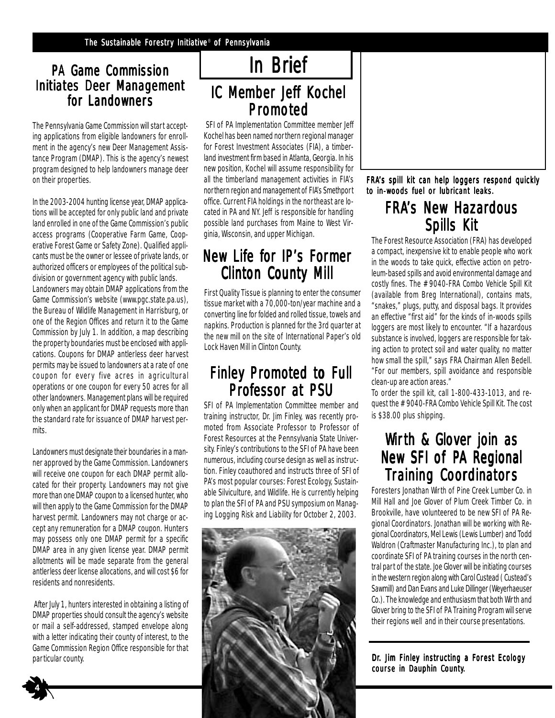### PA Game Commission **Initiates Deer Management** for Landowners

The Pennsylvania Game Commission will start accepting applications from eligible landowners for enrollment in the agency's new Deer Management Assistance Program (DMAP). This is the agency's newest program designed to help landowners manage deer on their properties.

In the 2003-2004 hunting license year, DMAP applications will be accepted for only public land and private land enrolled in one of the Game Commission's public access programs (Cooperative Farm Game, Cooperative Forest Game or Safety Zone). Qualified applicants must be the owner or lessee of private lands, or authorized officers or employees of the political subdivision or government agency with public lands. Landowners may obtain DMAP applications from the Game Commission's website (www.pgc.state.pa.us), the Bureau of Wildlife Management in Harrisburg, or one of the Region Offices and return it to the Game Commission by July 1. In addition, a map describing the property boundaries must be enclosed with applications. Coupons for DMAP antlerless deer harvest permits may be issued to landowners at a rate of one coupon for every five acres in agricultural operations or one coupon for every 50 acres for all other landowners. Management plans will be required only when an applicant for DMAP requests more than the standard rate for issuance of DMAP harvest permits.

Landowners must designate their boundaries in a manner approved by the Game Commission. Landowners will receive one coupon for each DMAP permit allocated for their property. Landowners may not give more than one DMAP coupon to a licensed hunter, who will then apply to the Game Commission for the DMAP harvest permit. Landowners may not charge or accept any remuneration for a DMAP coupon. Hunters may possess only one DMAP permit for a specific DMAP area in any given license year. DMAP permit allotments will be made separate from the general antlerless deer license allocations, and will cost \$6 for residents and nonresidents.

 After July 1, hunters interested in obtaining a listing of DMAP properties should consult the agency's website or mail a self-addressed, stamped envelope along with a letter indicating their county of interest, to the Game Commission Region Office responsible for that

4

## In Brief

## IC Member Jeff Kochel **Promoted**

 SFI of PA Implementation Committee member Jeff Kochel has been named northern regional manager for Forest Investment Associates (FIA), a timberland investment firm based in Atlanta, Georgia. In his new position, Kochel will assume responsibility for all the timberland management activities in FIA's northern region and management of FIA's Smethport office. Current FIA holdings in the northeast are located in PA and NY. Jeff is responsible for handling possible land purchases from Maine to West Virginia, Wisconsin, and upper Michigan.

## New Life for IP's Former **Clinton County Mill**

First Quality Tissue is planning to enter the consumer tissue market with a 70,000-ton/year machine and a converting line for folded and rolled tissue, towels and napkins. Production is planned for the 3rd quarter at the new mill on the site of International Paper's old Lock Haven Mill in Clinton County.

## Finley Promoted to Full Professor at PSU

SFI of PA Implementation Committee member and training instructor, Dr. Jim Finley, was recently promoted from Associate Professor to Professor of Forest Resources at the Pennsylvania State University. Finley's contributions to the SFI of PA have been numerous, including course design as well as instruction. Finley coauthored and instructs three of SFI of PA's most popular courses: Forest Ecology, Sustainable Silviculture, and Wildlife. He is currently helping to plan the SFI of PA and PSU symposium on Managing Logging Risk and Liability for October 2, 2003.



FRA's spill kit can help loggers respond quickly to in-woods fuel or lubricant leaks.

## **FRA's New Hazardous** Spills Kit

The Forest Resource Association (FRA) has developed a compact, inexpensive kit to enable people who work in the woods to take quick, effective action on petroleum-based spills and avoid environmental damage and costly fines. The #9040-FRA Combo Vehicle Spill Kit (available from Breg International), contains mats, "snakes," plugs, putty, and disposal bags. It provides an effective "first aid" for the kinds of in-woods spills loggers are most likely to encounter. "If a hazardous substance is involved, loggers are responsible for taking action to protect soil and water quality, no matter how small the spill," says FRA Chairman Allen Bedell. "For our members, spill avoidance and responsible clean-up are action areas."

To order the spill kit, call 1-800-433-1013, and request the #9040-FRA Combo Vehicle Spill Kit. The cost is \$38.00 plus shipping.

## Wirth & Glover join as New SFI of PA Regional **Training Coordinators**

Foresters Jonathan Wirth of Pine Creek Lumber Co. in Mill Hall and Joe Glover of Plum Creek Timber Co. in Brookville, have volunteered to be new SFI of PA Regional Coordinators. Jonathan will be working with Regional Coordinators, Mel Lewis (Lewis Lumber) and Todd Waldron (Craftmaster Manufacturing Inc.), to plan and coordinate SFI of PA training courses in the north central part of the state. Joe Glover will be initiating courses in the western region along with Carol Custead ( Custead's Sawmill) and Dan Evans and Luke Dillinger (Weyerhaeuser Co.). The knowledge and enthusiasm that both Wirth and Glover bring to the SFI of PA Training Program will serve their regions well and in their course presentations.

course in Dauphin County.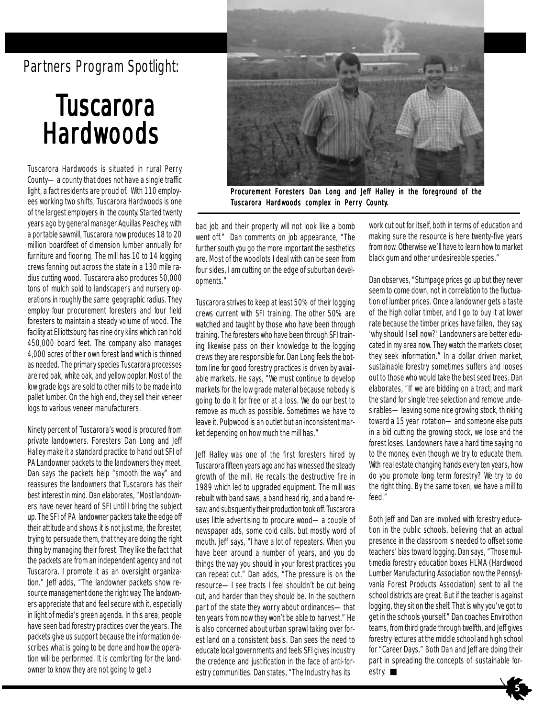## Partners Program Spotlight:

# **Tuscarora Hardwoods**

Tuscarora Hardwoods is situated in rural Perry County—a county that does not have a single traffic light, a fact residents are proud of. With 110 employees working two shifts, Tuscarora Hardwoods is one of the largest employers in the county. Started twenty years ago by general manager Aquillas Peachey, with a portable sawmill, Tuscarora now produces 18 to 20 million boardfeet of dimension lumber annually for furniture and flooring. The mill has 10 to 14 logging crews fanning out across the state in a 130 mile radius cutting wood. Tuscarora also produces 50,000 tons of mulch sold to landscapers and nursery operations in roughly the same geographic radius. They employ four procurement foresters and four field foresters to maintain a steady volume of wood. The facility at Elliottsburg has nine dry kilns which can hold 450,000 board feet. The company also manages 4,000 acres of their own forest land which is thinned as needed. The primary species Tuscarora processes are red oak, white oak, and yellow poplar. Most of the low grade logs are sold to other mills to be made into pallet lumber. On the high end, they sell their veneer logs to various veneer manufacturers.

Ninety percent of Tuscarora's wood is procured from private landowners. Foresters Dan Long and Jeff Halley make it a standard practice to hand out SFI of PA Landowner packets to the landowners they meet. Dan says the packets help "smooth the way" and reassures the landowners that Tuscarora has their best interest in mind. Dan elaborates, "Most landowners have never heard of SFI until I bring the subject up. The SFI of PA landowner packets take the edge off their attitude and shows it is not just me, the forester, trying to persuade them, that they are doing the right thing by managing their forest. They like the fact that the packets are from an independent agency and not Tuscarora. I promote it as an oversight organization." Jeff adds, "The landowner packets show resource management done the right way. The landowners appreciate that and feel secure with it, especially in light of media's green agenda. In this area, people have seen bad forestry practices over the years. The packets give us support because the information describes what is going to be done and how the operation will be performed. It is comforting for the landowner to know they are not going to get a



Procurement Foresters Dan Long and Jeff Halley in the foreground of the Tuscarora Hardwoods complex in Perry County.

bad job and their property will not look like a bomb went off." Dan comments on job appearance, "The further south you go the more important the aesthetics are. Most of the woodlots I deal with can be seen from four sides, I am cutting on the edge of suburban developments."

Tuscarora strives to keep at least 50% of their logging crews current with SFI training. The other 50% are watched and taught by those who have been through training. The foresters who have been through SFI training likewise pass on their knowledge to the logging crews they are responsible for. Dan Long feels the bottom line for good forestry practices is driven by available markets. He says, "We must continue to develop markets for the low grade material because nobody is going to do it for free or at a loss. We do our best to remove as much as possible. Sometimes we have to leave it. Pulpwood is an outlet but an inconsistent market depending on how much the mill has."

Jeff Halley was one of the first foresters hired by Tuscarora fifteen years ago and has winessed the steady growth of the mill. He recalls the destructive fire in 1989 which led to upgraded equipment. The mill was rebuilt with band saws, a band head rig, and a band resaw, and subsquently their production took off. Tuscarora uses little advertising to procure wood—a couple of newspaper ads, some cold calls, but mostly word of mouth. Jeff says, "I have a lot of repeaters. When you have been around a number of years, and you do things the way you should in your forest practices you can repeat cut." Dan adds, "The pressure is on the resource—I see tracts I feel shouldn't be cut being cut, and harder than they should be. In the southern part of the state they worry about ordinances—that ten years from now they won't be able to harvest." He is also concerned about urban sprawl taking over forest land on a consistent basis. Dan sees the need to educate local governments and feels SFI gives industry the credence and justification in the face of anti-forestry communities. Dan states, "The Industry has its

work cut out for itself, both in terms of education and making sure the resource is here twenty-five years from now. Otherwise we'll have to learn how to market black gum and other undesireable species."

Dan observes, "Stumpage prices go up but they never seem to come down, not in correlation to the fluctuation of lumber prices. Once a landowner gets a taste of the high dollar timber, and I go to buy it at lower rate because the timber prices have fallen, they say, 'why should I sell now?' Landowners are better educated in my area now. They watch the markets closer, they seek information." In a dollar driven market, sustainable forestry sometimes suffers and looses out to those who would take the best seed trees. Dan elaborates, "If we are bidding on a tract, and mark the stand for single tree selection and remove undesirables—leaving some nice growing stock, thinking toward a 15 year rotation—and someone else puts in a bid cutting the growing stock, we lose and the forest loses. Landowners have a hard time saying no to the money, even though we try to educate them. With real estate changing hands every ten years, how do you promote long term forestry? We try to do the right thing. By the same token, we have a mill to feed."

Both Jeff and Dan are involved with forestry education in the public schools, believing that an actual presence in the classroom is needed to offset some teachers' bias toward logging. Dan says, "Those multimedia forestry education boxes HLMA (Hardwood Lumber Manufacturing Association now the Pennsylvania Forest Products Association) sent to all the school districts are great. But if the teacher is against logging, they sit on the shelf. That is why you've got to get in the schools yourself." Dan coaches Envirothon teams, from third grade through twelfth, and Jeff gives forestry lectures at the middle school and high school for "Career Days." Both Dan and Jeff are doing their part in spreading the concepts of sustainable forestry. ∎

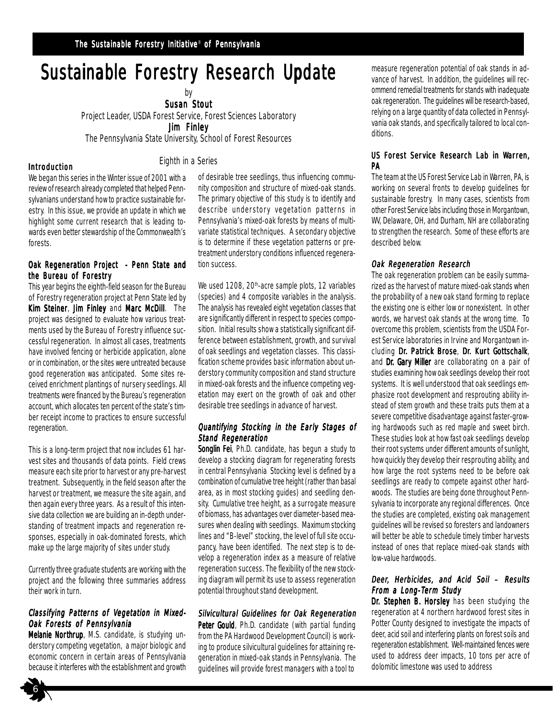## Sustainable Forestry Research Update

by **Susan Stout** 

Project Leader, USDA Forest Service, Forest Sciences Laboratory Jim Finley

The Pennsylvania State University, School of Forest Resources

Eighth in a Series

#### Introduction

We began this series in the Winter issue of 2001 with a review of research already completed that helped Pennsylvanians understand how to practice sustainable forestry. In this issue, we provide an update in which we highlight some current research that is leading towards even better stewardship of the Commonwealth's forests.

#### Oak Regeneration Project - Penn State and the Bureau of Forestry

This year begins the eighth-field season for the Bureau of Forestry regeneration project at Penn State led by Kim Steiner, Jim Finley and Marc McDill. The project was designed to evaluate how various treatments used by the Bureau of Forestry influence successful regeneration. In almost all cases, treatments have involved fencing or herbicide application, alone or in combination, or the sites were untreated because good regeneration was anticipated. Some sites received enrichment plantings of nursery seedlings. All treatments were financed by the Bureau's regeneration account, which allocates ten percent of the state's timber receipt income to practices to ensure successful regeneration.

This is a long-term project that now includes 61 harvest sites and thousands of data points. Field crews measure each site prior to harvest or any pre-harvest treatment. Subsequently, in the field season after the harvest or treatment, we measure the site again, and then again every three years. As a result of this intensive data collection we are building an in-depth understanding of treatment impacts and regeneration responses, especially in oak-dominated forests, which make up the large majority of sites under study.

Currently three graduate students are working with the project and the following three summaries address their work in turn.

#### Classifying Patterns of Vegetation in Mixed-Oak Forests of Pennsylvania

Melanie Northrup, M.S. candidate, is studying understory competing vegetation, a major biologic and economic concern in certain areas of Pennsylvania because it interferes with the establishment and growth of desirable tree seedlings, thus influencing community composition and structure of mixed-oak stands. The primary objective of this study is to identify and describe understory vegetation patterns in Pennsylvania's mixed-oak forests by means of multivariate statistical techniques. A secondary objective is to determine if these vegetation patterns or pretreatment understory conditions influenced regeneration success.

We used 1208, 20<sup>th</sup>-acre sample plots, 12 variables (species) and 4 composite variables in the analysis. The analysis has revealed eight vegetation classes that are significantly different in respect to species composition. Initial results show a statistically significant difference between establishment, growth, and survival of oak seedlings and vegetation classes. This classification scheme provides basic information about understory community composition and stand structure in mixed-oak forests and the influence competing vegetation may exert on the growth of oak and other desirable tree seedlings in advance of harvest.

#### Quantifying Stocking in the Early Stages of Stand Regeneration

Songlin Fei, Ph.D. candidate, has begun a study to develop a stocking diagram for regenerating forests in central Pennsylvania Stocking level is defined by a combination of cumulative tree height (rather than basal area, as in most stocking guides) and seedling density. Cumulative tree height, as a surrogate measure of biomass, has advantages over diameter-based measures when dealing with seedlings. Maximum stocking lines and "B-level" stocking, the level of full site occupancy, have been identified. The next step is to develop a regeneration index as a measure of relative regeneration success. The flexibility of the new stocking diagram will permit its use to assess regeneration potential throughout stand development.

#### Silvicultural Guidelines for Oak Regeneration

Peter Gould, Ph.D. candidate (with partial funding from the PA Hardwood Development Council) is working to produce silvicultural guidelines for attaining regeneration in mixed-oak stands in Pennsylvania. The guidelines will provide forest managers with a tool to

measure regeneration potential of oak stands in advance of harvest. In addition, the guidelines will recommend remedial treatments for stands with inadequate oak regeneration. The guidelines will be research-based, relying on a large quantity of data collected in Pennsylvania oak stands, and specifically tailored to local conditions.

#### US Forest Service Research Lab in Warren. **PA**

The team at the US Forest Service Lab in Warren, PA, is working on several fronts to develop guidelines for sustainable forestry. In many cases, scientists from other Forest Service labs including those in Morgantown, WV, Delaware, OH, and Durham, NH are collaborating to strengthen the research. Some of these efforts are described below.

#### Oak Regeneration Research

The oak regeneration problem can be easily summarized as the harvest of mature mixed-oak stands when the probability of a new oak stand forming to replace the existing one is either low or nonexistent. In other words, we harvest oak stands at the wrong time. To overcome this problem, scientists from the USDA Forest Service laboratories in Irvine and Morgantown including Dr. Patrick Brose, Dr. Kurt Gottschalk, and Dr. Gary Miller are collaborating on a pair of studies examining how oak seedlings develop their root systems. It is well understood that oak seedlings emphasize root development and resprouting ability instead of stem growth and these traits puts them at a severe competitive disadvantage against faster-growing hardwoods such as red maple and sweet birch. These studies look at how fast oak seedlings develop their root systems under different amounts of sunlight, how quickly they develop their resprouting ability, and how large the root systems need to be before oak seedlings are ready to compete against other hardwoods. The studies are being done throughout Pennsylvania to incorporate any regional differences. Once the studies are completed, existing oak management guidelines will be revised so foresters and landowners will better be able to schedule timely timber harvests instead of ones that replace mixed-oak stands with low-value hardwoods.

#### Deer, Herbicides, and Acid Soil – Results From a Long-Term Study

Dr. Stephen B. Horsley has been studying the regeneration at 4 northern hardwood forest sites in Potter County designed to investigate the impacts of deer, acid soil and interfering plants on forest soils and regeneration establishment. Well-maintained fences were used to address deer impacts, 10 tons per acre of dolomitic limestone was used to address

6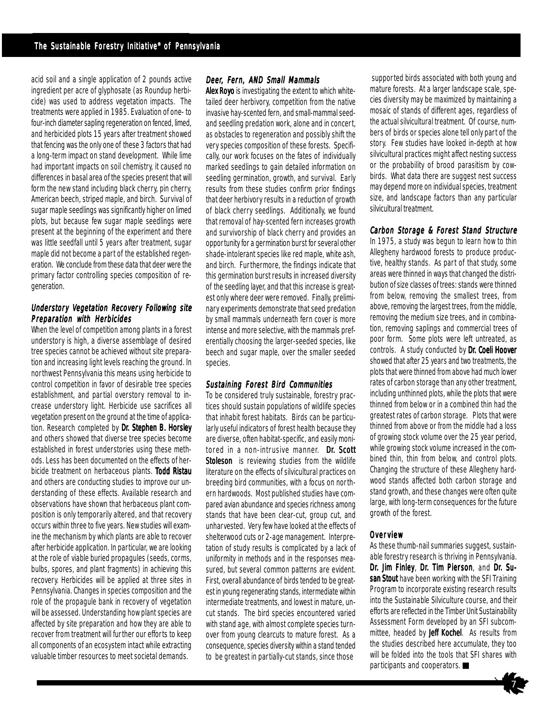acid soil and a single application of 2 pounds active ingredient per acre of glyphosate (as Roundup herbicide) was used to address vegetation impacts. The treatments were applied in 1985. Evaluation of one- to four-inch diameter sapling regeneration on fenced, limed, and herbicided plots 15 years after treatment showed that fencing was the only one of these 3 factors that had a long-term impact on stand development. While lime had important impacts on soil chemistry, it caused no differences in basal area of the species present that will form the new stand including black cherry, pin cherry, American beech, striped maple, and birch. Survival of sugar maple seedlings was significantly higher on limed plots, but because few sugar maple seedlings were present at the beginning of the experiment and there was little seedfall until 5 years after treatment, sugar maple did not become a part of the established regeneration. We conclude from these data that deer were the primary factor controlling species composition of regeneration.

#### Understory Vegetation Recovery Following site Preparation with Herbicides

When the level of competition among plants in a forest understory is high, a diverse assemblage of desired tree species cannot be achieved without site preparation and increasing light levels reaching the ground. In northwest Pennsylvania this means using herbicide to control competition in favor of desirable tree species establishment, and partial overstory removal to increase understory light. Herbicide use sacrifices all vegetation present on the ground at the time of application. Research completed by Dr. Stephen B. Horsley and others showed that diverse tree species become established in forest understories using these methods. Less has been documented on the effects of herbicide treatment on herbaceous plants. Todd Ristau and others are conducting studies to improve our understanding of these effects. Available research and observations have shown that herbaceous plant composition is only temporarily altered, and that recovery occurs within three to five years. New studies will examine the mechanism by which plants are able to recover after herbicide application. In particular, we are looking at the role of viable buried propagules (seeds, corms, bulbs, spores, and plant fragments) in achieving this recovery. Herbicides will be applied at three sites in Pennsylvania. Changes in species composition and the role of the propagule bank in recovery of vegetation will be assessed. Understanding how plant species are affected by site preparation and how they are able to recover from treatment will further our efforts to keep all components of an ecosystem intact while extracting valuable timber resources to meet societal demands.

#### Deer, Fern, AND Small Mammals

Alex Royo is investigating the extent to which whitetailed deer herbivory, competition from the native invasive hay-scented fern, and small-mammal seedand seedling predation work, alone and in concert, as obstacles to regeneration and possibly shift the very species composition of these forests. Specifically, our work focuses on the fates of individually marked seedlings to gain detailed information on seedling germination, growth, and survival. Early results from these studies confirm prior findings that deer herbivory results in a reduction of growth of black cherry seedlings. Additionally, we found that removal of hay-scented fern increases growth and survivorship of black cherry and provides an opportunity for a germination burst for several other shade-intolerant species like red maple, white ash, and birch. Furthermore, the findings indicate that this germination burst results in increased diversity of the seedling layer, and that this increase is greatest only where deer were removed. Finally, preliminary experiments demonstrate that seed predation by small mammals underneath fern cover is more intense and more selective, with the mammals preferentially choosing the larger-seeded species, like beech and sugar maple, over the smaller seeded species.

#### Sustaining Forest Bird Communities

To be considered truly sustainable, forestry practices should sustain populations of wildlife species that inhabit forest habitats. Birds can be particularly useful indicators of forest health because they are diverse, often habitat-specific, and easily monitored in a non-intrusive manner. Dr. Scott Stoleson is reviewing studies from the wildlife literature on the effects of silvicultural practices on breeding bird communities, with a focus on northern hardwoods. Most published studies have compared avian abundance and species richness among stands that have been clear-cut, group cut, and unharvested. Very few have looked at the effects of shelterwood cuts or 2-age management. Interpretation of study results is complicated by a lack of uniformity in methods and in the responses measured, but several common patterns are evident. First, overall abundance of birds tended to be greatest in young regenerating stands, intermediate within intermediate treatments, and lowest in mature, uncut stands. The bird species encountered varied with stand age, with almost complete species turnover from young clearcuts to mature forest. As a consequence, species diversity within a stand tended to be greatest in partially-cut stands, since those

 supported birds associated with both young and mature forests. At a larger landscape scale, species diversity may be maximized by maintaining a mosaic of stands of different ages, regardless of the actual silvicultural treatment. Of course, numbers of birds or species alone tell only part of the story. Few studies have looked in-depth at how silvicultural practices might affect nesting success or the probability of brood parasitism by cowbirds. What data there are suggest nest success may depend more on individual species, treatment size, and landscape factors than any particular silvicultural treatment.

#### Carbon Storage & Forest Stand Structure

In 1975, a study was begun to learn how to thin Allegheny hardwood forests to produce productive, healthy stands. As part of that study, some areas were thinned in ways that changed the distribution of size classes of trees: stands were thinned from below, removing the smallest trees, from above, removing the largest trees, from the middle, removing the medium size trees, and in combination, removing saplings and commercial trees of poor form. Some plots were left untreated, as controls. A study conducted by Dr. Coeli Hoover showed that after 25 years and two treatments, the plots that were thinned from above had much lower rates of carbon storage than any other treatment, including unthinned plots, while the plots that were thinned from below or in a combined thin had the greatest rates of carbon storage. Plots that were thinned from above or from the middle had a loss of growing stock volume over the 25 year period, while growing stock volume increased in the combined thin, thin from below, and control plots. Changing the structure of these Allegheny hardwood stands affected both carbon storage and stand growth, and these changes were often quite large, with long-term consequences for the future growth of the forest.

#### **Overview**

As these thumb-nail summaries suggest, sustainable forestry research is thriving in Pennsylvania. Dr. Jim Finley, Dr. Tim Pierson, and Dr. Susan Stout have been working with the SFI Training Program to incorporate existing research results into the Sustainable Silviculture course, and their efforts are reflected in the Timber Unit Sustainability Assessment Form developed by an SFI subcommittee, headed by Jeff Kochel. As results from the studies described here accumulate, they too will be folded into the tools that SFI shares with participants and cooperators.

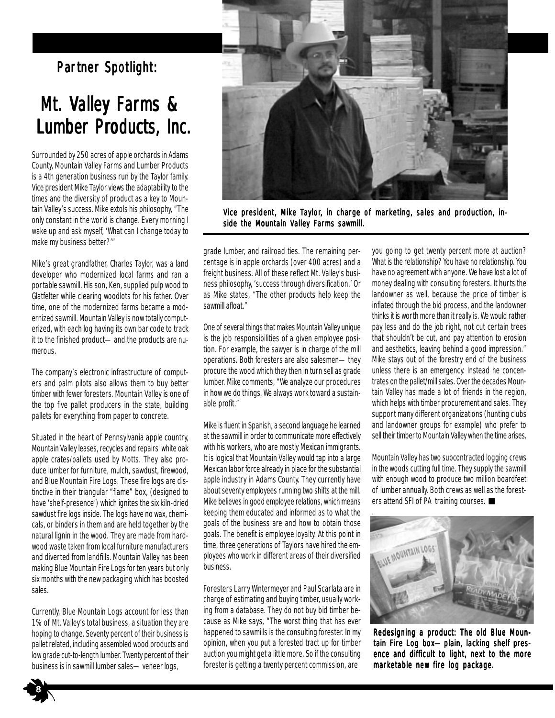## Partner Spotlight:

## Mt. Valley Farms & Lumber Products, Inc.

Surrounded by 250 acres of apple orchards in Adams County, Mountain Valley Farms and Lumber Products is a 4th generation business run by the Taylor family. Vice president Mike Taylor views the adaptability to the times and the diversity of product as a key to Mountain Valley's success. Mike extols his philosophy, "The only constant in the world is change. Every morning I wake up and ask myself, 'What can I change today to make my business better?'"

Mike's great grandfather, Charles Taylor, was a land developer who modernized local farms and ran a portable sawmill. His son, Ken, supplied pulp wood to Glatfelter while clearing woodlots for his father. Over time, one of the modernized farms became a modernized sawmill. Mountain Valley is now totally computerized, with each log having its own bar code to track it to the finished product—and the products are numerous.

The company's electronic infrastructure of computers and palm pilots also allows them to buy better timber with fewer foresters. Mountain Valley is one of the top five pallet producers in the state, building pallets for everything from paper to concrete.

Situated in the heart of Pennsylvania apple country, Mountain Valley leases, recycles and repairs white oak apple crates/pallets used by Motts. They also produce lumber for furniture, mulch, sawdust, firewood, and Blue Mountain Fire Logs. These fire logs are distinctive in their triangular "flame" box, (designed to have 'shelf-presence') which ignites the six kiln-dried sawdust fire logs inside. The logs have no wax, chemicals, or binders in them and are held together by the natural lignin in the wood. They are made from hardwood waste taken from local furniture manufacturers and diverted from landfills. Mountain Valley has been making Blue Mountain Fire Logs for ten years but only six months with the new packaging which has boosted sales.

Currently, Blue Mountain Logs account for less than 1% of Mt. Valley's total business, a situation they are hoping to change. Seventy percent of their business is pallet related, including assembled wood products and low grade cut-to-length lumber. Twenty percent of their business is in sawmill lumber sales—veneer logs,



Vice president, Mike Taylor, in charge of marketing, sales and production, inside the Mountain Valley Farms sawmill.

grade lumber, and railroad ties. The remaining percentage is in apple orchards (over 400 acres) and a freight business. All of these reflect Mt. Valley's business philosophy, 'success through diversification.' Or as Mike states, "The other products help keep the sawmill afloat."

One of several things that makes Mountain Valley unique is the job responsibilities of a given employee position. For example, the sawyer is in charge of the mill operations. Both foresters are also salesmen—they procure the wood which they then in turn sell as grade lumber. Mike comments, "We analyze our procedures in how we do things. We always work toward a sustainable profit."

Mike is fluent in Spanish, a second language he learned at the sawmill in order to communicate more effectively with his workers, who are mostly Mexican immigrants. It is logical that Mountain Valley would tap into a large Mexican labor force already in place for the substantial apple industry in Adams County. They currently have about seventy employees running two shifts at the mill. Mike believes in good employee relations, which means keeping them educated and informed as to what the goals of the business are and how to obtain those goals. The benefit is employee loyalty. At this point in time, three generations of Taylors have hired the employees who work in different areas of their diversified business.

Foresters Larry Wintermeyer and Paul Scarlata are in charge of estimating and buying timber, usually working from a database. They do not buy bid timber because as Mike says, "The worst thing that has ever happened to sawmills is the consulting forester. In my opinion, when you put a forested tract up for timber auction you might get a little more. So if the consulting forester is getting a twenty percent commission, are

you going to get twenty percent more at auction? What is the relationship? You have no relationship. You have no agreement with anyone. We have lost a lot of money dealing with consulting foresters. It hurts the landowner as well, because the price of timber is inflated through the bid process, and the landowner thinks it is worth more than it really is. We would rather pay less and do the job right, not cut certain trees that shouldn't be cut, and pay attention to erosion and aesthetics, leaving behind a good impression." Mike stays out of the forestry end of the business unless there is an emergency. Instead he concentrates on the pallet/mill sales. Over the decades Mountain Valley has made a lot of friends in the region, which helps with timber procurement and sales. They support many different organizations (hunting clubs and landowner groups for example) who prefer to sell their timber to Mountain Valley when the time arises.

Mountain Valley has two subcontracted logging crews in the woods cutting full time. They supply the sawmill with enough wood to produce two million boardfeet of lumber annually. Both crews as well as the foresters attend SFI of PA training courses. ■



Redesigning a product: The old Blue Mountain Fire Log box-plain, lacking shelf presence and difficult to light, next to the more marketable new fire log package.

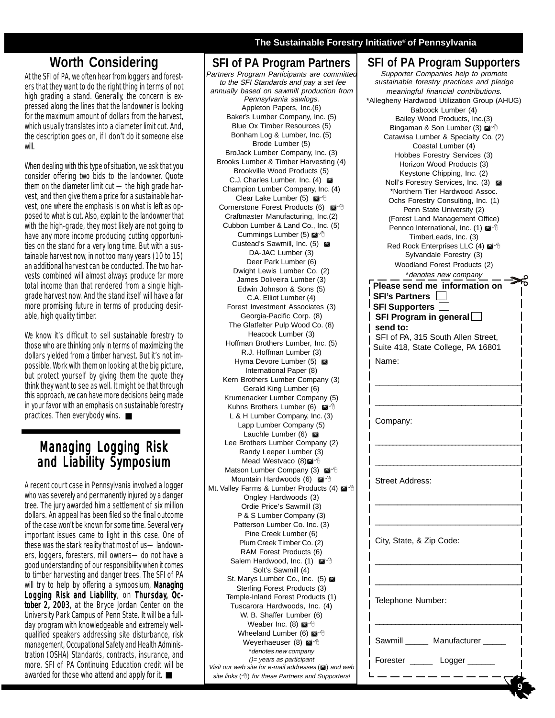## **Worth Considering**

At the SFI of PA, we often hear from loggers and foresters that they want to do the right thing in terms of not high grading a stand. Generally, the concern is expressed along the lines that the landowner is looking for the maximum amount of dollars from the harvest. which usually translates into a diameter limit cut. And, the description goes on, if I don't do it someone else will.

When dealing with this type of situation, we ask that you consider offering two bids to the landowner. Quote them on the diameter limit cut —the high grade harvest, and then give them a price for a sustainable harvest, one where the emphasis is on what is left as opposed to what is cut. Also, explain to the landowner that with the high-grade, they most likely are not going to have any more income producing cutting opportunities on the stand for a very long time. But with a sustainable harvest now, in not too many years (10 to 15) an additional harvest can be conducted. The two harvests combined will almost always produce far more total income than that rendered from a single highgrade harvest now. And the stand itself will have a far more promising future in terms of producing desirable, high quality timber.

We know it's difficult to sell sustainable forestry to those who are thinking only in terms of maximizing the dollars yielded from a timber harvest. But it's not impossible. Work with them on looking at the big picture, but protect yourself by giving them the quote they think they want to see as well. It might be that through this approach, we can have more decisions being made in your favor with an emphasis on sustainable forestry practices. Then everybody wins.

## **Managing Logging Risk** and Liability Symposium

A recent court case in Pennsylvania involved a logger who was severely and permanently injured by a danger tree. The jury awarded him a settlement of six million dollars. An appeal has been filed so the final outcome of the case won't be known for some time. Several very important issues came to light in this case. One of these was the stark reality that most of us—landowners, loggers, foresters, mill owners—do not have a good understanding of our responsibility when it comes to timber harvesting and danger trees. The SFI of PA will try to help by offering a symposium, Managing Logging Risk and Liability, on Thursday, October 2, 2003, at the Bryce Jordan Center on the University Park Campus of Penn State. It will be a fullday program with knowledgeable and extremely wellqualified speakers addressing site disturbance, risk management, Occupational Safety and Health Administration (OSHA) Standards, contracts, insurance, and more. SFI of PA Continuing Education credit will be awarded for those who attend and apply for it. ■

#### **The Sustainable Forestry Initiative**® **of Pennsylvania**

**SFI of PA Program Partners** Partners Program Participants are committed to the SFI Standards and pay a set fee annually based on sawmill production from Pennsylvania sawlogs. Appleton Papers, Inc.(6) Baker's Lumber Company, Inc. (5) Blue Ox Timber Resources (5) Bonham Log & Lumber, Inc. (5) Brode Lumber (5) BroJack Lumber Company, Inc. (3) Brooks Lumber & Timber Harvesting (4) Brookville Wood Products (5) C.J. Charles Lumber, Inc. (4) Champion Lumber Company, Inc. (4) Clear Lake Lumber (5)  $\blacksquare$ <sup>-1</sup> Cornerstone Forest Products (6)  $\blacksquare$ Craftmaster Manufacturing, Inc.(2) Cubbon Lumber & Land Co., Inc. (5) Cummings Lumber (5)  $\blacksquare$ <sup>-</sup> Custead's Sawmill, Inc. (5) DA-JAC Lumber (3) Deer Park Lumber (6) Dwight Lewis Lumber Co. (2) James Doliveira Lumber (3) Edwin Johnson & Sons (5) C.A. Elliot Lumber (4) Forest Investment Associates (3) Georgia-Pacific Corp. (8) The Glatfelter Pulp Wood Co. (8) Heacock Lumber (3) Hoffman Brothers Lumber, Inc. (5) R.J. Hoffman Lumber (3) Hyma Devore Lumber (5)  $\blacksquare$ International Paper (8) Kern Brothers Lumber Company (3) Gerald King Lumber (6) Krumenacker Lumber Company (5) Kuhns Brothers Lumber (6)  $\mathbb{M}^4$  th L & H Lumber Company, Inc. (3) Lapp Lumber Company (5) Lauchle Lumber (6)  $\blacksquare$ Lee Brothers Lumber Company (2) Randy Leeper Lumber (3) Mead Westvaco (8)<sup>2</sup> Matson Lumber Company (3)  $\mathbb{Z}^4$ <sup>®</sup> Mountain Hardwoods (6)  $^{\circ}$ Mt. Valley Farms & Lumber Products (4)  $\blacksquare$ Ongley Hardwoods (3) Ordie Price's Sawmill (3) P & S Lumber Company (3) Patterson Lumber Co. Inc. (3) Pine Creek Lumber (6) Plum Creek Timber Co. (2) RAM Forest Products (6) Salem Hardwood, Inc. (1)  $\mathbb{M}^4$ Solt's Sawmill (4) St. Marys Lumber Co., Inc. (5)  $\blacksquare$ Sterling Forest Products (3) Temple-Inland Forest Products (1) Tuscarora Hardwoods, Inc. (4) W. B. Shaffer Lumber (6) Weaber Inc.  $(8)$   $\blacksquare^{\Diamond}$ Wheeland Lumber (6)  $\mathbb{Z}^4$  (6) Weyerhaeuser (8)  $^{\circ}$ \*denotes new company ()= years as participant Visit our web site for e-mail addresses () and web

site links  $($ *<sup>* $)$ *</sup>* for these Partners and Supporters!

#### $\equiv$  9 **SFI of PA Program Supporters** Supporter Companies help to promote sustainable forestry practices and pledge meaningful financial contributions. \*Allegheny Hardwood Utilization Group (AHUG) Babcock Lumber (4) Bailey Wood Products, Inc.(3) Bingaman & Son Lumber (3)  $\mathbb{Z}^4$  & Catawisa Lumber & Specialty Co. (2) Coastal Lumber (4) Hobbes Forestry Services (3) Horizon Wood Products (3) Keystone Chipping, Inc. (2) Noll's Forestry Services, Inc. (3)  $\blacksquare$ \*Northern Tier Hardwood Assoc. Ochs Forestry Consulting, Inc. (1) Penn State University (2) (Forest Land Management Office) Pennco International, Inc. (1)  $\mathbb{M}^{\circ}$ TimberLeads, Inc. (3) Red Rock Enterprises LLC (4) @ <sup>^</sup> Sylvandale Forestry (3) Woodland Forest Products (2) \*denotes new company **Please send me information on SFI's Partners SFI Supporters SFI Program in general send to:** SFI of PA, 315 South Allen Street, Suite 418, State College, PA 16801 Name: \_\_\_\_\_\_\_\_\_\_\_\_\_\_\_\_\_\_\_\_\_\_\_\_\_\_\_\_\_\_\_\_\_ \_\_\_\_\_\_\_\_\_\_\_\_\_\_\_\_\_\_\_\_\_\_\_\_\_\_\_\_\_\_\_\_\_\_ Company: \_\_\_\_\_\_\_\_\_\_\_\_\_\_\_\_\_\_\_\_\_\_\_\_\_\_\_\_\_\_\_\_\_\_\_\_\_\_\_\_\_\_ \_\_\_\_\_\_\_\_\_\_\_\_\_\_\_\_\_\_\_\_\_\_\_\_\_\_\_\_\_\_\_\_\_\_\_\_\_\_\_\_ Street Address: \_\_\_\_\_\_\_\_\_\_\_\_\_\_\_\_\_\_\_\_\_\_\_\_\_\_\_\_\_\_\_\_\_  $\overline{\phantom{a}}$  , and the contract of the contract of the contract of  $\overline{\phantom{a}}$ City, State, & Zip Code: \_\_\_\_\_\_\_\_\_\_\_\_\_\_\_\_\_\_\_\_\_\_\_\_\_\_\_\_\_\_\_\_\_  $\overline{\phantom{a}}$  , and the contract of the contract of the contract of  $\overline{\phantom{a}}$ Telephone Number: \_\_\_\_\_\_\_\_\_\_\_\_\_\_\_\_\_\_\_\_\_\_\_\_\_\_\_\_\_\_\_\_\_\_\_\_\_ Sawmill Manufacturer Forester \_\_\_\_\_\_\_ Logger \_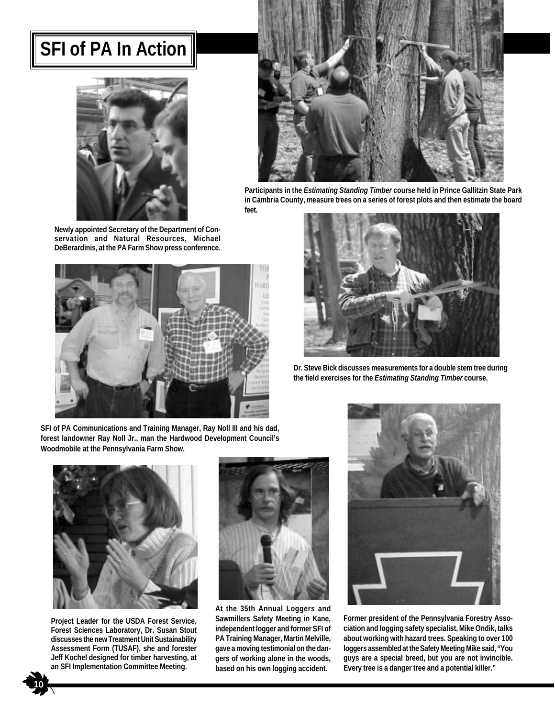## **SFI of PA In Action**





**Participants in the** *Estimating Standing Timber* **course held in Prince Gallitzin State Park in Cambria County, measure trees on a series of forest plots and then estimate the board feet.**

**Newly appointed Secretary of the Department of Conservation and Natural Resources, Michael DeBerardinis, at the PA Farm Show press conference.**





**Dr. Steve Bick discusses measurements for a double stem tree during the field exercises for the** *Estimating Standing Timber* **course.**

**SFI of PA Communications and Training Manager, Ray Noll III and his dad, forest landowner Ray Noll Jr., man the Hardwood Development Council's Woodmobile at the Pennsylvania Farm Show.**



**Project Leader for the USDA Forest Service, Forest Sciences Laboratory, Dr. Susan Stout discusses the new Treatment Unit Sustainability Assessment Form (TUSAF), she and forester Jeff Kochel designed for timber harvesting, at an SFI Implementation Committee Meeting.**



**At the 35th Annual Loggers and Sawmillers Safety Meeting in Kane, independent logger and former SFI of PA Training Manager, Martin Melville, gave a moving testimonial on the dangers of working alone in the woods, based on his own logging accident.**



**Former president of the Pennsylvania Forestry Association and logging safety specialist, Mike Ondik, talks about working with hazard trees. Speaking to over 100 loggers assembled at the Safety Meeting Mike said, "You guys are a special breed, but you are not invincible. Every tree is a danger tree and a potential killer."**

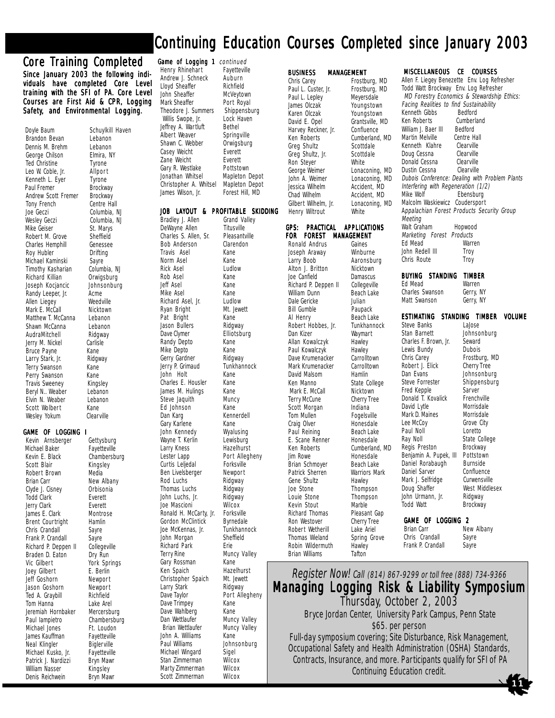## Continuing Education Courses Completed since January 2003

#### Core Training Completed

Since January 2003 the following individuals have completed Core Level training with the SFI of PA. Core Level Courses are First Aid & CPR, Logging Safety, and Environmental Logging.

Doyle Baum Schuylkill Haven<br>Brandon Bevan Lebanon Brandon Bevan Lebanon<br>Dennis M. Brehm Lebanon Dennis M. Brehm Lebanon<br>George Chilson Elmira, NY George Chilson Elmira,<br>Ted Christine Tyrone Ted Christine Leo W. Coble, Jr. Allpor t Kenneth L. Eyer Tyrone<br>Paul Fremer Brockway Paul Fremer Brockway<br>Andrew Scott Fremer Brockway Andrew Scott Fremer Brockway<br>Tony French Centre Hall Tony French<br>Joe Geczi Wesley Geczi Columbia<br>Mike Geiser St. Marvs Mike Geiser St. Marys<br>Robert M. Grove Sheffield Robert M. Grove Sheffield<br>Charles Hemphill Genessee Charles Hemphill Genesse<br>
Roy Hubler **Drifting** Roy Hubler Michael Kaminski Sayre<br>Timothy Kasharian Columbia, NJ Timothy Kasharian Columbia, N<br>Richard Killian Orwigsburg Richard Killian Orwigsburg<br>Joseph Kocjancic Johnsonburg Joseph Kocjancic Johns<br>Randy Leeper, Jr. Acme Randy Leeper, Jr. Acme<br>Allen Liegey Meedville Allen Liegey **Weedville**<br>Mark E. McCall Micktown Mark E. McCall **Nicktown**<br>Matthew T. McCanna Lebanon Matthew T. McCanna Lebanon<br>Shawn McCanna Lebanon Shawn McCanna Lebanon<br>AudraMitchell Ridgway AudraMitchell Ridgwa<br>Jerry M. Nickel Carlisle Jerry M. Nickel Bruce Payne Kane<br>Larry Stark, Jr. Ridgway Larry Stark, Jr. Terry Swanson Kane Perry Swanson Kane<br>Travis Sweeney Kingsley Travis Sweeney Beryl N.. Weaber Lebanon<br>Elvin N. Weaber Lebanon Elvin N. Weaber Scott Wolbert Kane<br>
Wesley Yokum Clearville Wesley Yokum

#### GAME OF LOGGING I LOGGING I

Kevin Arnsberger Gettysburg<br>Michael Baker Fayetteville Michael Baker<br>Kevin E. Black Kevin E. Black Chambersburg<br>Scott Blair Kingslev Robert Brown<br>Brian Carr Clyde J. Cisney Orbisonia **Todd Clark** Jerry Clark Everett<br>James E. Clark Montrose James E. Clark Montro<br>Brent Courtright Hamlin Brent Courtright Chris Crandall Sayre<br>Frank P. Crandall Sayre Frank P. Crandall Sayre<br>Richard P. Deppen II Collegeville Richard P. Deppen II Collegevi<br>Braden D. Eaton Dry Run Braden D. Eaton<br>Vic Gilbert Joey Gilbert E. Berlin Jeff Goshorn Jason Goshorn Mewport<br>Ted A. Graybill Richfield Ted A. Graybill Tom Hanna<br>Jeremiah Hornbaker Mercersburg Jeremiah Hornbaker Mercersburg<br>Paul lampietro bambersburg Paul lampietro Michael Jones Ft. Loudon James Kauffman Fayetteville<br>Neal Klingler Bigler ville Neal Klingler Biglerville<br>Michael Kusko, Jr. Fayetteville Michael Kusko, Jr. Fayetteville<br>Patrick J. Nardizzi Bryn Mawr Patrick J. Nardizzi William Nasser Kingsley Denis Reichwein

Columbia, NJ<br>Columbia, NJ

Kingsley<br>Media

New Albany<br>Orbisonia York Springs Larry Kness Richard Park Larry Stark Dan Wettlaufer<br>Brian Wettlaufer Scott Zimmerman

**Game of Logging 1** continued<br>Henry Rhinehart Fayetteville Henry Rhinehart Fayettev<br>Andrew J. Schneck Auburn Andrew J. Schneck Auburn<br>Llovd Sheaffer Richfield Lloyd Sheaffer<br>John Sheaffer McVevtown John Sheaffer<br>Mark Sheaffer Port Royal<br>Shippensburg Theodore J. Summers Shippensburg Willis Swope, Jr. Lock Haven Willis Swope, Jr. Lock H<br>effrey A. Wartluft Bethel Jeffrey A. Wartluft Albert Weaver Springville<br>Shawn C. Webber Orwigsburg Shawn C. Webber Casey Weicht Everett<br>
Zane Weicht Everett Zane Weicht File Everett<br>Gary R. Westlake Fottstown Gary R. Westlake Jonathan Whitsel Mapleton Depot<br>Christopher A. Whitsel Mapleton Depot Christopher A. Whitsel<br>James Wilson. Jr. Forest Hill, MD

## JOB LAYOUT & PROFITABLE SKIDDING<br>Bradley J. Allen Grand Valley

Travis Asel

Rick Asel

Jason Bullers<br>Dave Clymer

Randy Depto

Jerry P. Grimaud

Ed Johnson

Charles E. Housler

Bradley J. Allen Grand Va<br>DeWavne Allen Titusville DeWayne Allen Titusville<br>Charles S. Allen, Sr. Pleasantville Charles S. Allen, Sr. Pleasantvil<br>Bob Anderson Clarendon Bob Anderson Clare<br>Travis Asel Kane Norm Asel Kane Rob Asel Kane Jeff Asel Kane Mike Asel<br>Richard Asel, Jr. Ludlow Richard Asel, Jr. Ludlow<br>Ryan Bright Mt. Jewett Ryan Bright Mt. Jo<br>Pat Bright Kane Pat Bright Kane<br>Jason Bullers Ridgway Elliotsburg<br>Kane Mike Depto Kane Gerry Gardner **Ridgway**<br>Jerry P. Grimaud **Tunkhannock** John Holt Kane<br>Charles E. Housler Kane James M. Hulings Kane<br>Steve Jaquith Muncy Steve Jaquith Mund<br>Ed Johnson Kane Dan Karg **Kennerdell**<br>Gary Karlene **Kane** Gary Karlene Kane<br>John Kennedy Wyalusing John Kennedy Wyalusing Wayne T. Kerlin Lewisburg<br>Larry Kness Hazelhurst Lester Lapp Port Allegheny Curtis Leljedal Forksville<br>Ben Livelsberger Newport Ben Livelsberger Mewport<br>Rod Luchs Ridgway Rod Luchs Ridgway Thomas Luchs Ridgway<br>John Luchs, Jr. Ridgway John Luchs, Jr. Ridgway Joe Mascioni Wilcox<br>Ronald H. McCarty, Jr. Forksville Ronald H. McCarty, Jr. Forksville<br>Gordon McClintick Byrnedale Gordon McClintick Byrnedale<br>Joe McKennas, Jr. 1997 Tunkhannock Joe McKennas, Jr. Tunkhannock<br>John Morgan Sheffield John Morgan Shef<br>Richard Park Sie Terry Rine Muncy Valley<br>Gary Rossman Kane Gary Rossman Kane<br>Ken Spaich Kane Hazelhurst Ken Spaich and Hazelhurs<br>Christopher Spaich Mt. Jewett Christopher Spaich Mt. Jewe<br>Larry Stark Ridgway Dave Taylor **Port Allegheny**<br>Dave Trimpey **Rane** Dave Trimpey 65 Kane<br>Dave Wahlberg 65 Kane Dave Wahlberg Kane<br>Dan Wettlaufer Muncy Valley Muncy Valley John A. Williams Kane Johnsonburg Michael Wingard Sigel<br>Stan Zimmerman Wilcox Stan Zimmerman Wilcox<br>Marty Zimmerman Wilcox Marty Zimmerman Wilcox

**BUSINESS MANAGEMENT**<br>Chris Carey Frostbi Paul L. Custer, Jr. Frostburg,<br>Paul L. Lepley Meyersdale Paul L. Lepley Meyersdale<br>James Olczak Moungstown James Olczak<br>Karen Olczak Karen Olczak Youngstown<br>David E. Opel Grantsville, M Harvey Reckner, Jr.<br>Ken Roberts Greg Shultz<br>Greg Shultz, Jr. Scottdale Greg Shultz, Jr. Scotton Scotton Stever Ron Steyer<br>George Weimer George Weimer Lonaconing, MD<br>John A. Weimer Lonaconing, MD Jessica Wilhelm Chad Wilhelm (Chad Wilhelm Accident, MD)<br>
Gilbert Wilhelm, Jr. (Chaconing, I Henry Wiltrout White **FOR FOREST MANAGEMENT**<br>Ronald Andrus Gaines Ronald Andrus Gaines<br>Joseph Araway Minburne Joseph Araway<br>Larry Boob Alton J. Britton Joe Canfield Damascus<br>Richard P. Deppen II Collegeville Richard P. Deppen II Collegeville<br>William Dunn Beach Lake

Bill Gumble<br>Al Henry Robert Hobbes, Jr. David Malsom<br>Ken Manno Scott Morgan E. Scane Renner<br>Ken Roberts Gene Shultz<br>Joe Stone Kevin Stout<br>Richard Thomas

Grantsville, MD<br>Confluence Lonaconing, MD<br>Accident, MD Lonaconing, MD

#### GPS: PRACTICAL APPLICATIONS

William Dunn Beach Lake Dale Gericke Julian<br>Bill Gumble Paupack Dan Kizer Waymart Allan Kowalczyk Hawley Paul Kowalczyk Hawley<br>Dave Krumenacker Carrolltown Dave Krumenacker Carrolltown<br>Mark Krumenacker Carrolltown Mark Krumenacker Carrollt<br>David Malsom Hamlin Mark E. McCall **Nicktown**<br>Terry McCune **Cherry Tree** Terry McCune Cherry T<br>Scott Morgan Indiana Tom Mullen Fogelsville<br>Craig Olver Flonesdale Craig Olver Honesdale<br>
Paul Reining Beach Lake Paul Reining Beach Lake<br>
E. Scane Renner Honesdale Jim Rowe Brian Schmoyer Honesdale<br>Brian Schmoyer Beach Lake Brian Schmoyer Beach Lake<br>Patrick Sherren Warriors Mark Patrick Sherren Warriors<br>Gene Shultz Hawley Joe Stone Thompson Ron Westover Cherry Tree<br>Robert Wetherill Lake Ariel Robert Wetherill Lake Ariel<br>Thomas Wieland Spring Grove Thomas Wieland Spring<br>Robin Wildermuth Hawley Robin Wildermuth Hawley<br>Brian Williams Tafton Brian Williams

Frostburg, MD<br>Frostburg, MD Cumberland, MD<br>Scottdale

# Meeting

Aaronsburg<br>Nicktown Beach Lake<br>Tunkhannock State College Cumberland, MD Thompson<br>Marble Pleasant Gap<br>Cherry Tree Donald T. Kovalick Frenchville<br>David Lytle Morrisdale David Lytle Morrisdale<br>
Mark D. Maines Morrisdale Mark D. Maines Morrisdale<br>
Lee McCoy Grove City Lee McCoy Grove C<br>
Paul Noll Coretto Paul Noll Ray Noll<br>Regis Preston Brockway Regis Preston Brockway<br>Benjamin A. Pupek, III Pottstown Benjamin A. Pupek, III Pottstown<br>Daniel Rorabaugh Burnside Daniel Rorabaugh Burnside<br>Daniel Sarver Confluence Daniel Sarver Mark J. Selfridge Curwensville<br>Doug Shaffer West Middle John Urmann, Jr. Ridgway<br>Todd Watt Brockway

MISCELLANEOUS CE COURSES Allen F. Liegey Benezette Env. Log Refresher Todd Watt Brockway Env. Log Refresher MD Forestry Economics & Stewardship Ethics: Facing Realities to find Sustainability<br>Kenneth Gibbs Bedford Kenneth Gibbs<br>Ken Roberts Cumberland<br>Bedford William J. Baer III Bedford<br>Martin Melville Centre Hall Martin Melville Centre Hal<br>Kenneth Klahre Clearville Kenneth Klahre Clearville<br>Doug Cessna Clearville Doug Cessna Donald Cessna<br>
Dustin Cessna<br>
Clearville Dustin Cessna Dubois Conference: Dealing with Problem Plants Interfering with Regeneration (1/2)<br>Mike Wolf Fbensburg Ebensburg Malcolm Waskiewicz Coudersport Appalachian Forest Products Security Group Walt Graham Hopwood Marketing Forest Products<br>Ed Mead Warren Ed Mead John Redell III Troy Chris Route Troy **BUYING STANDING TIMBER**<br>Ed Mead Warren Ed Mead<br>
Charles Swanson Gerry, NY Charles Swanson Matt Swanson Gerry, NY **ESTIMATING STANDING TIMBER VOLUME**<br>Steve Banks Lalose Steve Banks<br>Stan Barnett Johnsonburg Charles F. Brown, Jr. Seward<br>Lewis Bundy Dubois Lewis Bundy<br>Chris Carev Frostburg, MD<br>Cherry Tree Robert J. Elick<br>Dan Evans Johnsonburg<br>Shippensburg Steve Forrester Shippe<br>Fred Kepple Sarver Fred Kepple Sarver<br>Donald T. Kovalick Frenchville

## **GAME OF LOGGING 2**<br>Brian Carr **Ne**

New Albany Chris Crandall Sayre Frank P. Crandall Sayre

West Middlesex

Brockway

1 1

Register Now! Call (814) 867-9299 or toll free (888) 734-9366 Managing Logging Risk & Liability Symposium Thursday, October 2, 2003 Bryce Jordan Center, University Park Campus, Penn State \$65. per person Full-day symposium covering; Site Disturbance, Risk Management, Occupational Safety and Health Administration (OSHA) Standards, Contracts, Insurance, and more. Participants qualify for SFI of PA Continuing Education credit.